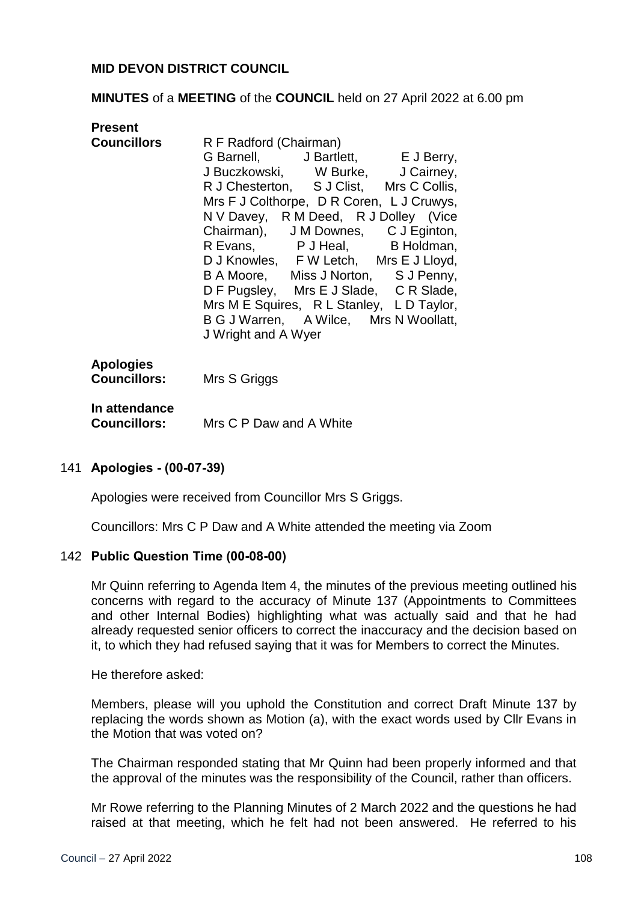## **MID DEVON DISTRICT COUNCIL**

#### **MINUTES** of a **MEETING** of the **COUNCIL** held on 27 April 2022 at 6.00 pm

| <b>Present</b>                                       |                                                                                                                                                                                                                                                                                                                                                                                                                                                                                                                                                                         |
|------------------------------------------------------|-------------------------------------------------------------------------------------------------------------------------------------------------------------------------------------------------------------------------------------------------------------------------------------------------------------------------------------------------------------------------------------------------------------------------------------------------------------------------------------------------------------------------------------------------------------------------|
|                                                      | <b>Councillors</b> R F Radford (Chairman)<br>G Barnell, J Bartlett, E J Berry,<br>J Buczkowski, W Burke, J Cairney,<br>R J Chesterton, S J Clist, Mrs C Collis,<br>Mrs F J Colthorpe, D R Coren, L J Cruwys,<br>N V Davey, R M Deed, R J Dolley (Vice<br>Chairman), J M Downes, C J Eginton,<br>R Evans, P J Heal, B Holdman,<br>D J Knowles, F W Letch, Mrs E J Lloyd,<br>B A Moore, Miss J Norton, S J Penny,<br>D F Pugsley, Mrs E J Slade, C R Slade,<br>Mrs M E Squires, R L Stanley, L D Taylor,<br>B G J Warren, A Wilce, Mrs N Woollatt,<br>J Wright and A Wyer |
| <b>Apologies</b><br><b>Councillors:</b> Mrs S Griggs |                                                                                                                                                                                                                                                                                                                                                                                                                                                                                                                                                                         |
| In attendance                                        | <b>Councillors:</b> Mrs C P Daw and A White                                                                                                                                                                                                                                                                                                                                                                                                                                                                                                                             |

#### 141 **Apologies - (00-07-39)**

Apologies were received from Councillor Mrs S Griggs.

Councillors: Mrs C P Daw and A White attended the meeting via Zoom

#### 142 **Public Question Time (00-08-00)**

Mr Quinn referring to Agenda Item 4, the minutes of the previous meeting outlined his concerns with regard to the accuracy of Minute 137 (Appointments to Committees and other Internal Bodies) highlighting what was actually said and that he had already requested senior officers to correct the inaccuracy and the decision based on it, to which they had refused saying that it was for Members to correct the Minutes.

He therefore asked:

Members, please will you uphold the Constitution and correct Draft Minute 137 by replacing the words shown as Motion (a), with the exact words used by Cllr Evans in the Motion that was voted on?

The Chairman responded stating that Mr Quinn had been properly informed and that the approval of the minutes was the responsibility of the Council, rather than officers.

Mr Rowe referring to the Planning Minutes of 2 March 2022 and the questions he had raised at that meeting, which he felt had not been answered. He referred to his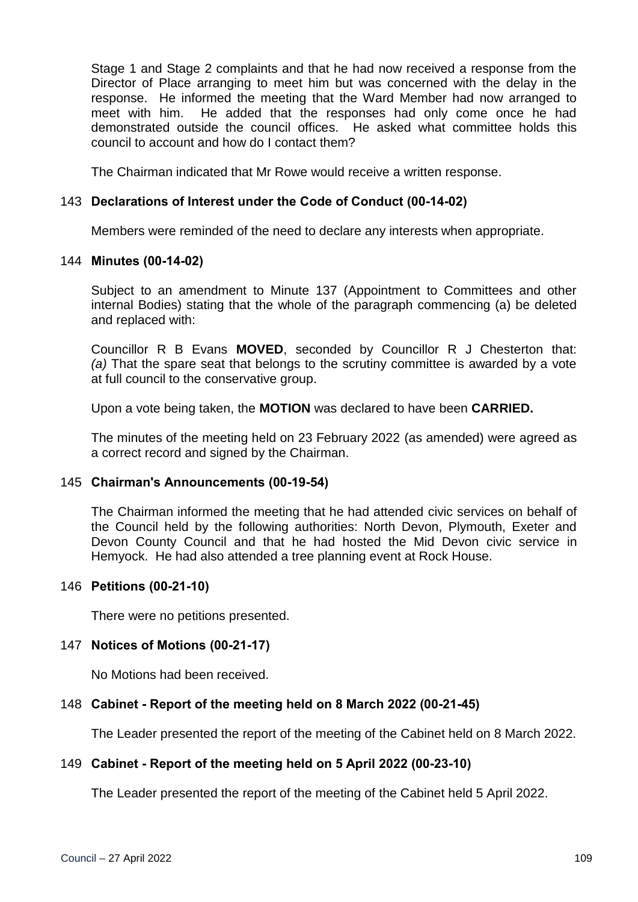Stage 1 and Stage 2 complaints and that he had now received a response from the Director of Place arranging to meet him but was concerned with the delay in the response. He informed the meeting that the Ward Member had now arranged to meet with him. He added that the responses had only come once he had demonstrated outside the council offices. He asked what committee holds this council to account and how do I contact them?

The Chairman indicated that Mr Rowe would receive a written response.

# 143 **Declarations of Interest under the Code of Conduct (00-14-02)**

Members were reminded of the need to declare any interests when appropriate.

## 144 **Minutes (00-14-02)**

Subject to an amendment to Minute 137 (Appointment to Committees and other internal Bodies) stating that the whole of the paragraph commencing (a) be deleted and replaced with:

Councillor R B Evans **MOVED**, seconded by Councillor R J Chesterton that: *(a)* That the spare seat that belongs to the scrutiny committee is awarded by a vote at full council to the conservative group.

Upon a vote being taken, the **MOTION** was declared to have been **CARRIED.**

The minutes of the meeting held on 23 February 2022 (as amended) were agreed as a correct record and signed by the Chairman.

## 145 **Chairman's Announcements (00-19-54)**

The Chairman informed the meeting that he had attended civic services on behalf of the Council held by the following authorities: North Devon, Plymouth, Exeter and Devon County Council and that he had hosted the Mid Devon civic service in Hemyock. He had also attended a tree planning event at Rock House.

## 146 **Petitions (00-21-10)**

There were no petitions presented.

## 147 **Notices of Motions (00-21-17)**

No Motions had been received.

## 148 **Cabinet - Report of the meeting held on 8 March 2022 (00-21-45)**

The Leader presented the report of the meeting of the Cabinet held on 8 March 2022.

## 149 **Cabinet - Report of the meeting held on 5 April 2022 (00-23-10)**

The Leader presented the report of the meeting of the Cabinet held 5 April 2022.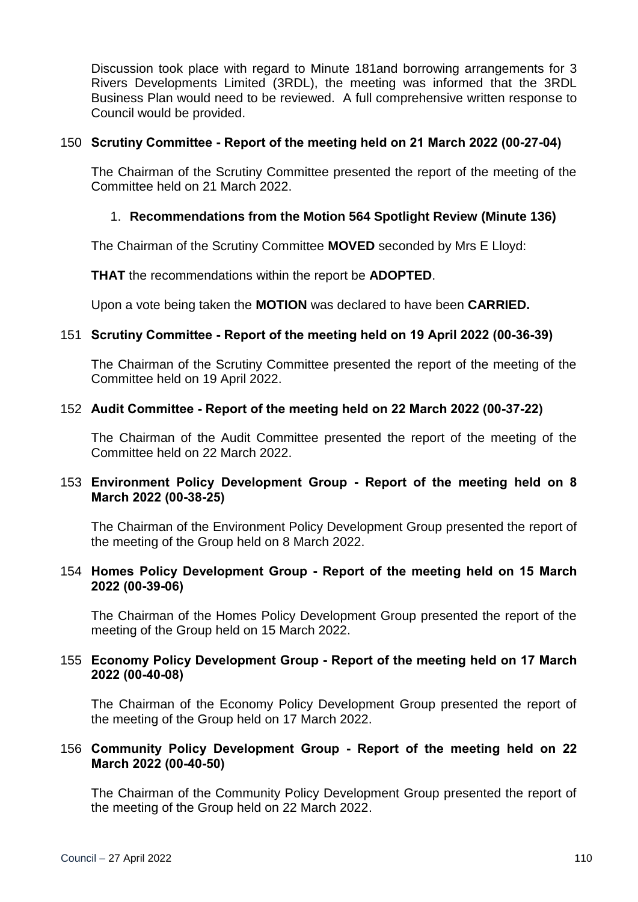Discussion took place with regard to Minute 181and borrowing arrangements for 3 Rivers Developments Limited (3RDL), the meeting was informed that the 3RDL Business Plan would need to be reviewed. A full comprehensive written response to Council would be provided.

### 150 **Scrutiny Committee - Report of the meeting held on 21 March 2022 (00-27-04)**

The Chairman of the Scrutiny Committee presented the report of the meeting of the Committee held on 21 March 2022.

## 1. **Recommendations from the Motion 564 Spotlight Review (Minute 136)**

The Chairman of the Scrutiny Committee **MOVED** seconded by Mrs E Lloyd:

**THAT** the recommendations within the report be **ADOPTED**.

Upon a vote being taken the **MOTION** was declared to have been **CARRIED.**

## 151 **Scrutiny Committee - Report of the meeting held on 19 April 2022 (00-36-39)**

The Chairman of the Scrutiny Committee presented the report of the meeting of the Committee held on 19 April 2022.

#### 152 **Audit Committee - Report of the meeting held on 22 March 2022 (00-37-22)**

The Chairman of the Audit Committee presented the report of the meeting of the Committee held on 22 March 2022.

# 153 **Environment Policy Development Group - Report of the meeting held on 8 March 2022 (00-38-25)**

The Chairman of the Environment Policy Development Group presented the report of the meeting of the Group held on 8 March 2022.

#### 154 **Homes Policy Development Group - Report of the meeting held on 15 March 2022 (00-39-06)**

The Chairman of the Homes Policy Development Group presented the report of the meeting of the Group held on 15 March 2022.

## 155 **Economy Policy Development Group - Report of the meeting held on 17 March 2022 (00-40-08)**

The Chairman of the Economy Policy Development Group presented the report of the meeting of the Group held on 17 March 2022.

#### 156 **Community Policy Development Group - Report of the meeting held on 22 March 2022 (00-40-50)**

The Chairman of the Community Policy Development Group presented the report of the meeting of the Group held on 22 March 2022.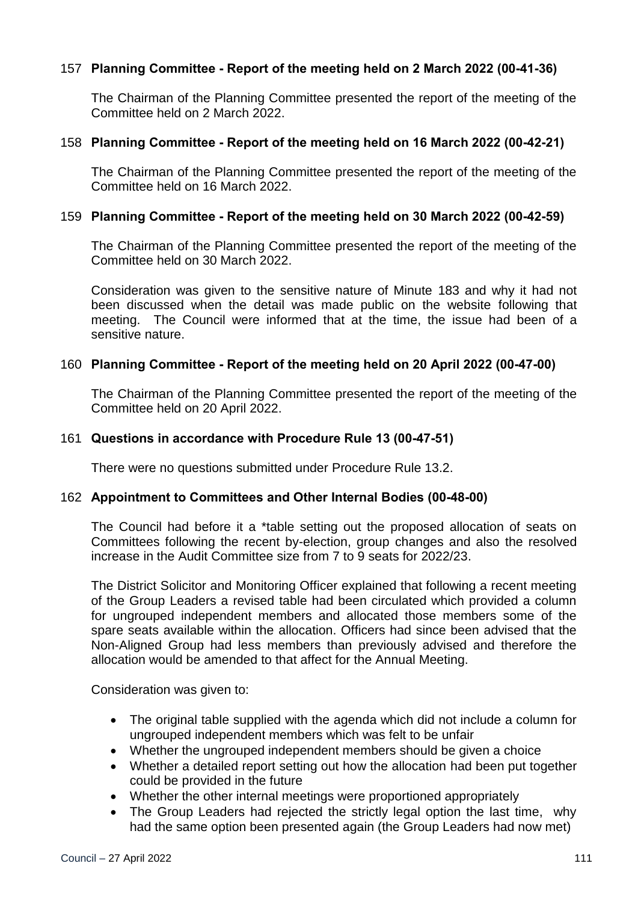# 157 **Planning Committee - Report of the meeting held on 2 March 2022 (00-41-36)**

The Chairman of the Planning Committee presented the report of the meeting of the Committee held on 2 March 2022.

### 158 **Planning Committee - Report of the meeting held on 16 March 2022 (00-42-21)**

The Chairman of the Planning Committee presented the report of the meeting of the Committee held on 16 March 2022.

### 159 **Planning Committee - Report of the meeting held on 30 March 2022 (00-42-59)**

The Chairman of the Planning Committee presented the report of the meeting of the Committee held on 30 March 2022.

Consideration was given to the sensitive nature of Minute 183 and why it had not been discussed when the detail was made public on the website following that meeting. The Council were informed that at the time, the issue had been of a sensitive nature.

#### 160 **Planning Committee - Report of the meeting held on 20 April 2022 (00-47-00)**

The Chairman of the Planning Committee presented the report of the meeting of the Committee held on 20 April 2022.

#### 161 **Questions in accordance with Procedure Rule 13 (00-47-51)**

There were no questions submitted under Procedure Rule 13.2.

## 162 **Appointment to Committees and Other Internal Bodies (00-48-00)**

The Council had before it a \*table setting out the proposed allocation of seats on Committees following the recent by-election, group changes and also the resolved increase in the Audit Committee size from 7 to 9 seats for 2022/23.

The District Solicitor and Monitoring Officer explained that following a recent meeting of the Group Leaders a revised table had been circulated which provided a column for ungrouped independent members and allocated those members some of the spare seats available within the allocation. Officers had since been advised that the Non-Aligned Group had less members than previously advised and therefore the allocation would be amended to that affect for the Annual Meeting.

Consideration was given to:

- The original table supplied with the agenda which did not include a column for ungrouped independent members which was felt to be unfair
- Whether the ungrouped independent members should be given a choice
- Whether a detailed report setting out how the allocation had been put together could be provided in the future
- Whether the other internal meetings were proportioned appropriately
- The Group Leaders had rejected the strictly legal option the last time, why had the same option been presented again (the Group Leaders had now met)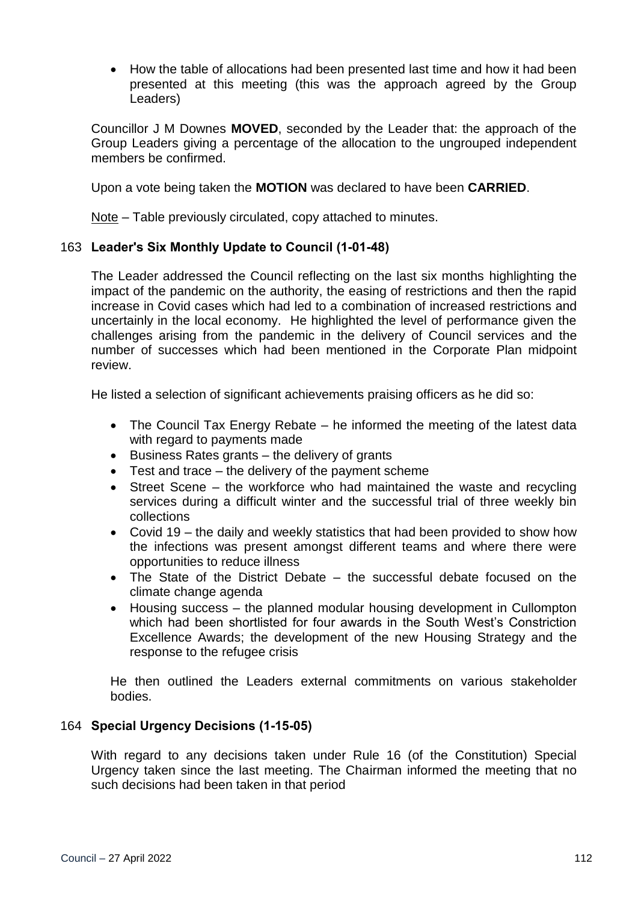How the table of allocations had been presented last time and how it had been presented at this meeting (this was the approach agreed by the Group Leaders)

Councillor J M Downes **MOVED**, seconded by the Leader that: the approach of the Group Leaders giving a percentage of the allocation to the ungrouped independent members be confirmed.

Upon a vote being taken the **MOTION** was declared to have been **CARRIED**.

Note – Table previously circulated, copy attached to minutes.

# 163 **Leader's Six Monthly Update to Council (1-01-48)**

The Leader addressed the Council reflecting on the last six months highlighting the impact of the pandemic on the authority, the easing of restrictions and then the rapid increase in Covid cases which had led to a combination of increased restrictions and uncertainly in the local economy. He highlighted the level of performance given the challenges arising from the pandemic in the delivery of Council services and the number of successes which had been mentioned in the Corporate Plan midpoint review.

He listed a selection of significant achievements praising officers as he did so:

- The Council Tax Energy Rebate he informed the meeting of the latest data with regard to payments made
- $\bullet$  Business Rates grants the delivery of grants
- Test and trace the delivery of the payment scheme
- Street Scene the workforce who had maintained the waste and recycling services during a difficult winter and the successful trial of three weekly bin collections
- Covid 19 the daily and weekly statistics that had been provided to show how the infections was present amongst different teams and where there were opportunities to reduce illness
- The State of the District Debate the successful debate focused on the climate change agenda
- Housing success the planned modular housing development in Cullompton which had been shortlisted for four awards in the South West's Constriction Excellence Awards; the development of the new Housing Strategy and the response to the refugee crisis

He then outlined the Leaders external commitments on various stakeholder bodies.

## 164 **Special Urgency Decisions (1-15-05)**

With regard to any decisions taken under Rule 16 (of the Constitution) Special Urgency taken since the last meeting. The Chairman informed the meeting that no such decisions had been taken in that period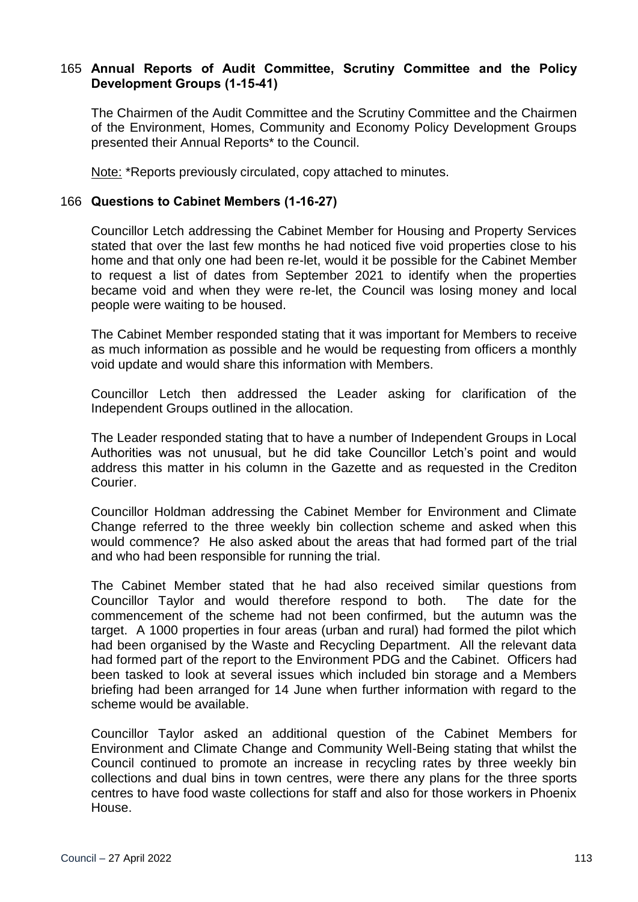### 165 **Annual Reports of Audit Committee, Scrutiny Committee and the Policy Development Groups (1-15-41)**

The Chairmen of the Audit Committee and the Scrutiny Committee and the Chairmen of the Environment, Homes, Community and Economy Policy Development Groups presented their Annual Reports\* to the Council.

Note: \*Reports previously circulated, copy attached to minutes.

#### 166 **Questions to Cabinet Members (1-16-27)**

Councillor Letch addressing the Cabinet Member for Housing and Property Services stated that over the last few months he had noticed five void properties close to his home and that only one had been re-let, would it be possible for the Cabinet Member to request a list of dates from September 2021 to identify when the properties became void and when they were re-let, the Council was losing money and local people were waiting to be housed.

The Cabinet Member responded stating that it was important for Members to receive as much information as possible and he would be requesting from officers a monthly void update and would share this information with Members.

Councillor Letch then addressed the Leader asking for clarification of the Independent Groups outlined in the allocation.

The Leader responded stating that to have a number of Independent Groups in Local Authorities was not unusual, but he did take Councillor Letch's point and would address this matter in his column in the Gazette and as requested in the Crediton Courier.

Councillor Holdman addressing the Cabinet Member for Environment and Climate Change referred to the three weekly bin collection scheme and asked when this would commence? He also asked about the areas that had formed part of the trial and who had been responsible for running the trial.

The Cabinet Member stated that he had also received similar questions from Councillor Taylor and would therefore respond to both. The date for the commencement of the scheme had not been confirmed, but the autumn was the target. A 1000 properties in four areas (urban and rural) had formed the pilot which had been organised by the Waste and Recycling Department. All the relevant data had formed part of the report to the Environment PDG and the Cabinet. Officers had been tasked to look at several issues which included bin storage and a Members briefing had been arranged for 14 June when further information with regard to the scheme would be available.

Councillor Taylor asked an additional question of the Cabinet Members for Environment and Climate Change and Community Well-Being stating that whilst the Council continued to promote an increase in recycling rates by three weekly bin collections and dual bins in town centres, were there any plans for the three sports centres to have food waste collections for staff and also for those workers in Phoenix House.